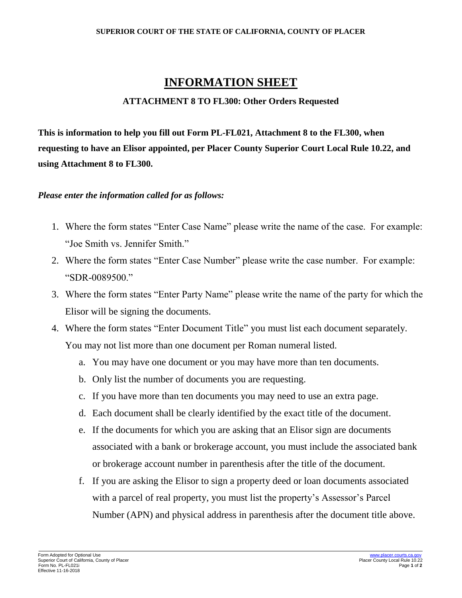#### **SUPERIOR COURT OF THE STATE OF CALIFORNIA, COUNTY OF PLACER**

## **INFORMATION SHEET**

### **ATTACHMENT 8 TO FL300: Other Orders Requested**

**This is information to help you fill out Form PL-FL021, Attachment 8 to the FL300, when requesting to have an Elisor appointed, per Placer County Superior Court Local Rule 10.22, and using Attachment 8 to FL300.**

#### *Please enter the information called for as follows:*

- 1. Where the form states "Enter Case Name" please write the name of the case. For example: "Joe Smith vs. Jennifer Smith."
- 2. Where the form states "Enter Case Number" please write the case number. For example: "SDR-0089500."
- 3. Where the form states "Enter Party Name" please write the name of the party for which the Elisor will be signing the documents.
- 4. Where the form states "Enter Document Title" you must list each document separately. You may not list more than one document per Roman numeral listed.
	- a. You may have one document or you may have more than ten documents.
	- b. Only list the number of documents you are requesting.
	- c. If you have more than ten documents you may need to use an extra page.
	- d. Each document shall be clearly identified by the exact title of the document.
	- e. If the documents for which you are asking that an Elisor sign are documents associated with a bank or brokerage account, you must include the associated bank or brokerage account number in parenthesis after the title of the document.
	- f. If you are asking the Elisor to sign a property deed or loan documents associated with a parcel of real property, you must list the property's Assessor's Parcel Number (APN) and physical address in parenthesis after the document title above.